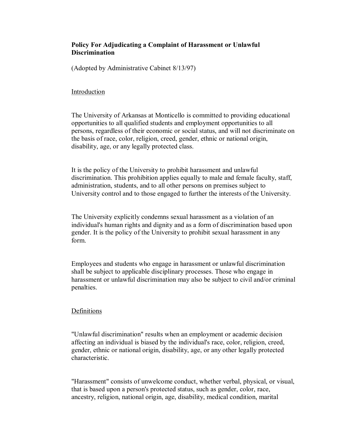# **Policy For Adjudicating a Complaint of Harassment or Unlawful Discrimination**

(Adopted by Administrative Cabinet 8/13/97)

### Introduction

The University of Arkansas at Monticello is committed to providing educational opportunities to all qualified students and employment opportunities to all persons, regardless of their economic or social status, and will not discriminate on the basis of race, color, religion, creed, gender, ethnic or national origin, disability, age, or any legally protected class.

It is the policy of the University to prohibit harassment and unlawful discrimination. This prohibition applies equally to male and female faculty, staff, administration, students, and to all other persons on premises subject to University control and to those engaged to further the interests of the University.

The University explicitly condemns sexual harassment as a violation of an individual's human rights and dignity and as a form of discrimination based upon gender. It is the policy of the University to prohibit sexual harassment in any form.

Employees and students who engage in harassment or unlawful discrimination shall be subject to applicable disciplinary processes. Those who engage in harassment or unlawful discrimination may also be subject to civil and/or criminal penalties.

## Definitions

"Unlawful discrimination" results when an employment or academic decision affecting an individual is biased by the individual's race, color, religion, creed, gender, ethnic or national origin, disability, age, or any other legally protected characteristic.

"Harassment" consists of unwelcome conduct, whether verbal, physical, or visual, that is based upon a person's protected status, such as gender, color, race, ancestry, religion, national origin, age, disability, medical condition, marital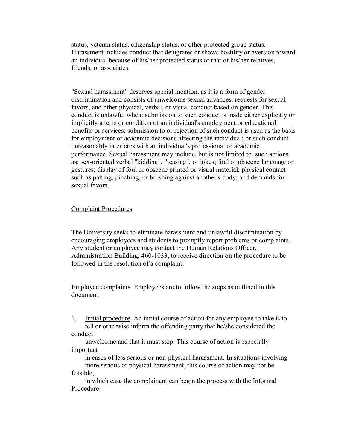status, veteran status, citizenship status, or other protected group status. Harassment includes conduct that denigrates or shows hostility or aversion toward an individual because of his/her protected status or that of his/her relatives, friends, or associates.

"Sexual harassment" deserves special mention, as it is a form of gender discrimination and consists of unwelcome sexual advances, requests for sexual favors, and other physical, verbal, or visual conduct based on gender. This conduct is unlawful when: submission to such conduct is made either explicitly or implicitly a term or condition of an individual's employment or educational benefits or services; submission to or rejection of such conduct is used as the basis for employment or academic decisions affecting the individual; or such conduct unreasonably interferes with an individual's professional or academic performance. Sexual harassment may include, but is not limited to, such actions as: sex-oriented verbal "kidding", "teasing", or jokes; foul or obscene language or gestures; display of foul or obscene printed or visual material; physical contact such as patting, pinching, or brushing against another's body; and demands for sexual favors.

### Complaint Procedures

The University seeks to eliminate harassment and unlawful discrimination by encouraging employees and students to promptly report problems or complaints. Any student or employee may contact the Human Relations Officer, Administration Building, 460-1033, to receive direction on the procedure to be followed in the resolution of a complaint.

Employee complaints. Employees are to follow the steps as outlined in this document.

1. Initial procedure. An initial course of action for any employee to take is to tell or otherwise inform the offending party that he/she considered the conduct

unwelcome and that it must stop. This course of action is especially important

in cases of less serious or non-physical harassment. In situations involving more serious or physical harassment, this course of action may not be feasible,

in which case the complainant can begin the process with the Informal Procedure.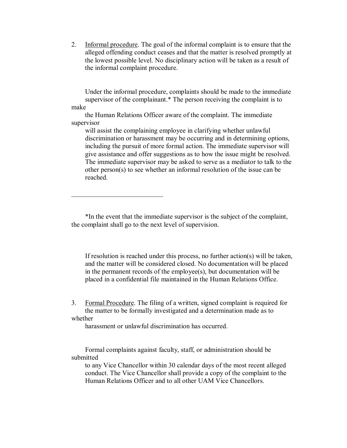2. Informal procedure. The goal of the informal complaint is to ensure that the alleged offending conduct ceases and that the matter is resolved promptly at the lowest possible level. No disciplinary action will be taken as a result of the informal complaint procedure.

Under the informal procedure, complaints should be made to the immediate supervisor of the complainant.\* The person receiving the complaint is to make

the Human Relations Officer aware of the complaint. The immediate supervisor

will assist the complaining employee in clarifying whether unlawful discrimination or harassment may be occurring and in determining options, including the pursuit of more formal action. The immediate supervisor will give assistance and offer suggestions as to how the issue might be resolved. The immediate supervisor may be asked to serve as a mediator to talk to the other person(s) to see whether an informal resolution of the issue can be reached.

\*In the event that the immediate supervisor is the subject of the complaint, the complaint shall go to the next level of supervision.

If resolution is reached under this process, no further action(s) will be taken, and the matter will be considered closed. No documentation will be placed in the permanent records of the employee(s), but documentation will be placed in a confidential file maintained in the Human Relations Office.

3. Formal Procedure. The filing of a written, signed complaint is required for the matter to be formally investigated and a determination made as to whether

harassment or unlawful discrimination has occurred.

\_\_\_\_\_\_\_\_\_\_\_\_\_\_\_\_\_\_\_\_\_\_\_\_\_\_\_

Formal complaints against faculty, staff, or administration should be submitted

to any Vice Chancellor within 30 calendar days of the most recent alleged conduct. The Vice Chancellor shall provide a copy of the complaint to the Human Relations Officer and to all other UAM Vice Chancellors.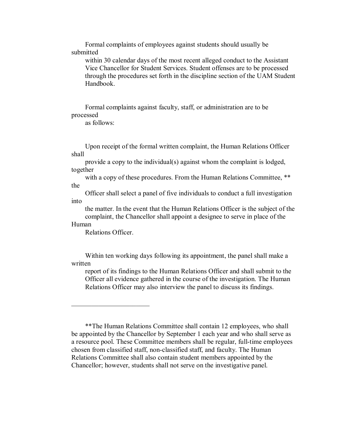Formal complaints of employees against students should usually be submitted

within 30 calendar days of the most recent alleged conduct to the Assistant Vice Chancellor for Student Services. Student offenses are to be processed through the procedures set forth in the discipline section of the UAM Student Handbook.

Formal complaints against faculty, staff, or administration are to be processed

as follows:

Upon receipt of the formal written complaint, the Human Relations Officer shall

provide a copy to the individual(s) against whom the complaint is lodged, together

with a copy of these procedures. From the Human Relations Committee, \*\* the

Officer shall select a panel of five individuals to conduct a full investigation into

the matter. In the event that the Human Relations Officer is the subject of the complaint, the Chancellor shall appoint a designee to serve in place of the

### Human

Relations Officer.

 $\overline{\phantom{a}}$  , where  $\overline{\phantom{a}}$  , where  $\overline{\phantom{a}}$  , where  $\overline{\phantom{a}}$ 

Within ten working days following its appointment, the panel shall make a written

report of its findings to the Human Relations Officer and shall submit to the Officer all evidence gathered in the course of the investigation. The Human Relations Officer may also interview the panel to discuss its findings.

\*\*The Human Relations Committee shall contain 12 employees, who shall be appointed by the Chancellor by September 1 each year and who shall serve as a resource pool. These Committee members shall be regular, full-time employees chosen from classified staff, non-classified staff, and faculty. The Human Relations Committee shall also contain student members appointed by the Chancellor; however, students shall not serve on the investigative panel.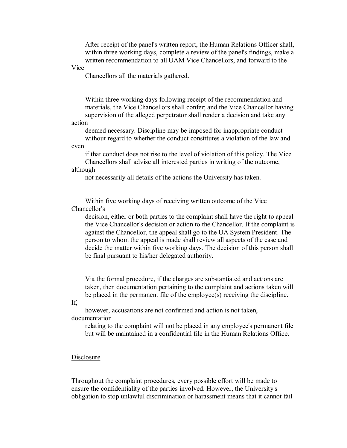After receipt of the panel's written report, the Human Relations Officer shall, within three working days, complete a review of the panel's findings, make a written recommendation to all UAM Vice Chancellors, and forward to the

Vice

Chancellors all the materials gathered.

Within three working days following receipt of the recommendation and materials, the Vice Chancellors shall confer; and the Vice Chancellor having supervision of the alleged perpetrator shall render a decision and take any

action

deemed necessary. Discipline may be imposed for inappropriate conduct without regard to whether the conduct constitutes a violation of the law and

even

if that conduct does not rise to the level of violation of this policy. The Vice Chancellors shall advise all interested parties in writing of the outcome, although

not necessarily all details of the actions the University has taken.

Within five working days of receiving written outcome of the Vice Chancellor's

decision, either or both parties to the complaint shall have the right to appeal the Vice Chancellor's decision or action to the Chancellor. If the complaint is against the Chancellor, the appeal shall go to the UA System President. The person to whom the appeal is made shall review all aspects of the case and decide the matter within five working days. The decision of this person shall be final pursuant to his/her delegated authority.

Via the formal procedure, if the charges are substantiated and actions are taken, then documentation pertaining to the complaint and actions taken will be placed in the permanent file of the employee(s) receiving the discipline.

If,

however, accusations are not confirmed and action is not taken, documentation

relating to the complaint will not be placed in any employee's permanent file but will be maintained in a confidential file in the Human Relations Office.

#### Disclosure

Throughout the complaint procedures, every possible effort will be made to ensure the confidentiality of the parties involved. However, the University's obligation to stop unlawful discrimination or harassment means that it cannot fail